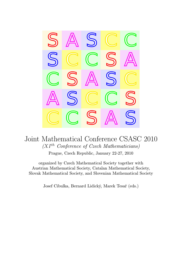

# Joint Mathematical Conference CSASC 2010  $(XI<sup>th</sup> Conference of Czech Mathematics)$

Prague, Czech Republic, January 22-27, 2010

organized by Czech Mathematical Society together with Austrian Mathematical Society, Catalan Mathematical Society, Slovak Mathematical Society, and Slovenian Mathematical Society

Josef Cibulka, Bernard Lidický, Marek Tesař (eds.)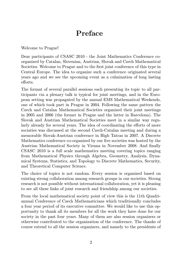# Preface

Welcome to Prague!

Dear participants of CSASC 2010 - the Joint Mathematics Conference coorganized by Catalan, Slovenian, Austrian, Slovak and Czech Mathematical Societies. Welcome to Prague and to the first joint conference of this type in Central Europe. The idea to organize such a conference originated several years ago and we see the upcoming event as a culmination of long lasting efforts.

The format of several parallel sessions each presenting its topic to all participants via a plenary talk is typical for joint meetings, and in the European setting was propagated by the annual EMS Mathematical Weekends, one of which took part in Prague in 2004. Following the same pattern the Czech and Catalan Mathematical Societies organized their joint meetings in 2005 and 2006 (the former in Prague and the latter in Barcelona). The Slovak and Austrian Mathematical Societies meet in a similar way regularly already for several years. The idea of coordinating the efforts of more sociaties was discussed at the second Czech-Catalan meeting and during a memorable Slovak-Austrian conference in High Tatras in 2007. A Discrete Mathematics conference co-organized by our five societies was hosted by the Austrian Mathematical Society in Vienna in November 2008. And finally CSASC 2010 is a full scale mathematics meeting covering topics ranging from Mathematical Physics through Algebra, Geometry, Analysis, Dynamical Systems, Statistics, and Topology to Discrete Mathematics, Security, and Theoretical Computer Science.

The choice of topics is not random. Every session is organized based on existing strong collaboration among research groups in our societies. Strong research is not possible without international collaboration, yet it is pleasing to see all these links of joint research and friendship among our societies.

From the local mathematical society point of view this is the 11th Quadriannual Conference of Czech Mathematicians which traditionally concludes a four year period of its executive committee. We would like to use this opportunity to thank all its members for all the work they have done for our society in the past four years. Many of them are also session organizers or otherwise contributed to the organization of the conference. The thanks of course extend to all the session organizers, and namely to the presidents of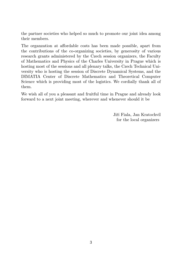the partner societies who helped so much to promote our joint idea among their members.

The organzation at affordable costs has been made possible, apart from the contributions of the co-organizing societies, by generosity of various research grants administered by the Czech session organizers, the Faculty of Mathematics and Physics of the Charles University in Prague which is hosting most of the sessions and all plenary talks, the Czech Technical University who is hosting the session of Discrete Dynamical Systems, and the DIMATIA Center of Discrete Mathematics and Theoretical Computer Science which is providing most of the logistics. We cordially thank all of them.

We wish all of you a pleasant and fruitful time in Prague and already look forward to a next joint meeting, wherever and whenever should it be

> Jiří Fiala, Jan Kratochvíl for the local organizers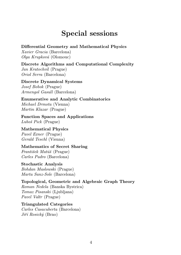# Special sessions

#### Differential Geometry and Mathematical Physics

Xavier Gracia (Barcelona) Olga Krupková (Olomouc)

#### Discrete Algorithms and Computational Complexity

Jan Kratochvíl (Prague) Oriol Serra (Barcelona)

Discrete Dynamical Systems Josef Bobok (Prague) Armengol Gasull (Barcelona)

#### Enumerative and Analytic Combinatorics Michael Drmota (Vienna) Martin Klazar (Prague)

Function Spaces and Applications Luboš Pick (Prague)

Mathematical Physics Pavel Exner (Prague) Gerald Teschl (Vienna)

#### Mathematics of Secret Sharing

František Matúš (Prague) Carles Padro (Barcelona)

## Stochastic Analysis

Bohdan Maslowski (Prague) Marta Sanz-Sole (Barcelona)

#### Topological, Geometric and Algebraic Graph Theory Roman Nedela (Banska Bystrica) Tomaz Pisanski (Ljubljana) Pavel Valtr (Prague)

Triangulated Categories Carles Casacuberta (Barcelona) Jiří Rosický (Brno)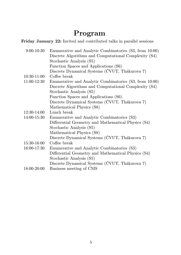# Program

Friday January 22: Invited and contributed talks in parallel sessions

| $9:00 - 10:30$ | Enumerative and Analytic Combinatorics (S3, from 10:00) |
|----------------|---------------------------------------------------------|
|                | Discrete Algorithms and Computational Complexity (S4)   |
|                | Stochastic Analysis (S5)                                |
|                | Function Spaces and Applications (S6)                   |
|                | Discrete Dynamical Systems (ČVUT, Thákurova 7)          |
| 10:30-11:00    | Coffee break                                            |
| 11:00-12:30    | Enumerative and Analytic Combinatorics (S3, from 10:00) |
|                | Discrete Algorithms and Computational Complexity (S4)   |
|                | Stochastic Analysis (S5)                                |
|                | Function Spaces and Applications (S6)                   |
|                | Discrete Dynamical Systems (ČVUT, Thákurova 7)          |
|                | Mathematical Physics (S8)                               |
| 12:30-14:00    | Lunch break                                             |
| 14:00-15:30    | Enumerative and Analytic Combinatorics (S3)             |
|                | Differential Geometry and Mathematical Physics (S4)     |
|                | Stochastic Analysis (S5)                                |
|                | Mathematical Physics (S8)                               |
|                | Discrete Dynamical Systems (ČVUT, Thákurova 7)          |
| 15:30-16:00    | Coffee break                                            |
| 16:00-17:30    | Enumerative and Analytic Combinatorics (S3)             |
|                | Differential Geometry and Mathematical Physics (S4)     |
|                | Stochastic Analysis (S5)                                |
|                | Discrete Dynamical Systems (ČVUT, Thákurova 7)          |
| 18:00-20:00    | Business meeting of CMS                                 |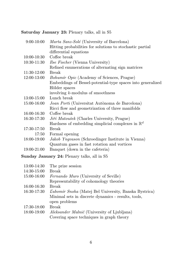#### Saturday January 23: Plenary talks, all in S5

| $9:00-10:00$ | Marta Sanz-Solé (University of Barcelona)                    |
|--------------|--------------------------------------------------------------|
|              | Hitting probabilities for solutions to stochastic partial    |
|              | differential equations                                       |
| 10:00-10:30  | Coffee break                                                 |
| 10:30-11:30  | <i>Ilse Fischer</i> (Vienna University)                      |
|              | Refined enumerations of alternating sign matrices            |
| 11:30-12:00  | Break                                                        |
| 12:00-13:00  | <i>Bohumír Opic</i> (Academy of Sciences, Prague)            |
|              | Embeddings of Bessel-potential-type spaces into generalized  |
|              | Hölder spaces                                                |
|              | involving $k$ -modulus of smoothness                         |
| 13:00-15:00  | Lunch break                                                  |
| 15:00-16:00  | Joan Porti (Universitat Autònoma de Barcelona)               |
|              | Ricci flow and geometrization of three manifolds             |
| 16:00-16:30  | Coffee break                                                 |
| 16:30-17:30  | Jiří Matoušek (Charles University, Prague)                   |
|              | Hardness of embedding simplicial complexes in $\mathbb{R}^d$ |
| 17:30-17:50  | <b>Break</b>                                                 |
| 17:50        | Formal opening                                               |
| 18:00-19:00  | Jakob Yngvason (Schroedinger Institute in Vienna)            |
|              | Quantum gases in fast rotation and vortices                  |
| 19:00-21:00  | Banquet (down in the cafeteria)                              |
|              |                                                              |

Sunday January 24: Plenary talks, all in S5

| 13:00-14:30 | The prize session                                            |
|-------------|--------------------------------------------------------------|
| 14:30-15:00 | Break                                                        |
| 15:00-16:00 | Fernando Muro (University of Seville)                        |
|             | Representability of cohomology theories                      |
| 16:00-16:30 | <b>Break</b>                                                 |
| 16:30-17:30 | <i>Lubomír Snoha</i> (Matej Bel University, Banska Bystrica) |
|             | Minimal sets in discrete dynamics - results, tools,          |
|             | open problems                                                |
| 17:30-18:00 | Break                                                        |
| 18:00-19:00 | Aleksander Malnič (University of Ljubljana)                  |
|             | Covering space techniques in graph theory                    |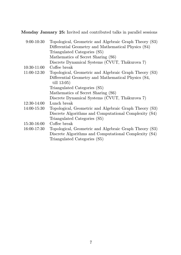Monday January 25: Invited and contributed talks in parallel sessions

| $9:00-10:30$  | Topological, Geometric and Algebraic Graph Theory (S3) |
|---------------|--------------------------------------------------------|
|               | Differential Geometry and Mathematical Physics (S4)    |
|               | Triangulated Categories (S5)                           |
|               | Mathematics of Secret Sharing (S6)                     |
|               | Discrete Dynamical Systems (ČVUT, Thákurova 7)         |
| $10:30-11:00$ | Coffee break                                           |
| 11:00-12:30   | Topological, Geometric and Algebraic Graph Theory (S3) |
|               | Differential Geometry and Mathematical Physics (S4,    |
|               | till $13:05$ )                                         |
|               | Triangulated Categories (S5)                           |
|               | Mathematics of Secret Sharing (S6)                     |
|               | Discrete Dynamical Systems (ČVUT, Thákurova 7)         |
| 12:30-14:00   | Lunch break                                            |
| 14:00-15:30   | Topological, Geometric and Algebraic Graph Theory (S3) |
|               | Discrete Algorithms and Computational Complexity (S4)  |
|               | Triangulated Categories (S5)                           |
| 15:30-16:00   | Coffee break                                           |
| 16:00-17:30   | Topological, Geometric and Algebraic Graph Theory (S3) |
|               | Discrete Algorithms and Computational Complexity (S4)  |
|               | Triangulated Categories (S5)                           |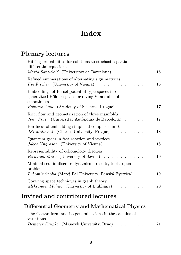# Index

# Plenary lectures

# Invited and contributed lectures

#### Differential Geometry and Mathematical Physics

|            | The Cartan form and its generalizations in the calculus of |  |
|------------|------------------------------------------------------------|--|
| variations |                                                            |  |
|            | Demeter Krupka (Masaryk University, Brno) 21               |  |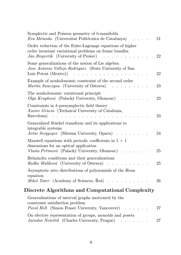| Symplectic and Poisson geometry of b-manifolds<br>Eva Miranda (Universitat Politècnica de Catalunya)                                                                                                  | 21 |
|-------------------------------------------------------------------------------------------------------------------------------------------------------------------------------------------------------|----|
| Order reduction of the Euler-Lagrange equations of higher<br>order invariant variational problems on frame bundles<br>Ján Brajerčík (University of Prešov)                                            | 22 |
| Some generalizations of the notion of Lie algebra<br>Jose Antonio Vallejo Rodriguez (State University of San<br>Luis Potosi (Mexico))<br>.                                                            | 22 |
| Example of nonholonomic constraint of the second order<br>Martin Swaczyna (University of Ostrava)                                                                                                     | 23 |
| The nonholonomic variational principle<br>Olga Krupková (Palacký University, Olomouc)                                                                                                                 | 23 |
| Constraints in $k$ -presymplectic field theory<br>Xavier Gràcia (Technical University of Catalonia,<br>Barcelona)<br>$\mathbf{r}$ and $\mathbf{r}$ and $\mathbf{r}$ and $\mathbf{r}$ and $\mathbf{r}$ | 23 |
| Generalized Stäckel transform and its applications to<br>integrable systems<br>Artur Sergyeyev (Silesian University, Opava)                                                                           | 24 |
| Maxwell equations with periodic coefficients in $1 + 1$<br>dimensions for an optical application<br>Vlasta Peřinová (Palacký University, Olomouc)                                                     | 25 |
| Helmholtz conditions and their generalizations<br>Radka Malíková (University of Ostrava)                                                                                                              | 25 |
| Asymptotic zero distributions of polynomials of the Heun<br>equation<br>Miloš Tater (Academy of Sciences, Řež)                                                                                        | 26 |
| Discrete Algorithms and Computational Complexity                                                                                                                                                      |    |
| Generalizations of interval graphs motivated by the<br>constraint satisfaction problem                                                                                                                |    |
| <i>Pavol Hell</i> (Simon Fraser University, Vancouver).<br>On efective representation of groups, monoids and posets                                                                                   | 27 |
| Jaroslav Nešetřil (Charles University, Prague)<br>والمناولة والمناورة                                                                                                                                 | 27 |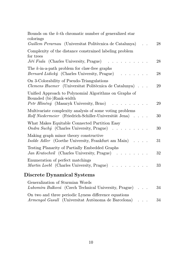| Bounds on the $k$ -th chromatic number of generalized star<br>colorings                                                                                                                                                                                                      |    |
|------------------------------------------------------------------------------------------------------------------------------------------------------------------------------------------------------------------------------------------------------------------------------|----|
| Guillem Perarnau (Universitat Politècnica de Catalunya)                                                                                                                                                                                                                      | 28 |
| Complexity of the distance constrained labeling problem<br>for trees                                                                                                                                                                                                         |    |
| Jiří Fiala (Charles University, Prague)<br>$\mathbf{r}$ . The set of the set of the set of the set of the set of the set of the set of the set of the set of the set of the set of the set of the set of the set of the set of the set of the set of the set of the set of t | 28 |
| The $k$ -in-a-path problem for claw-free graphs<br><i>Bernard Lidický</i> (Charles University, Prague)<br>$\ddot{\phantom{a}}$                                                                                                                                               | 28 |
| On 3-Colorability of Pseudo-Triangulations<br>Clemens Huemer (Universitat Politècnica de Catalunya)                                                                                                                                                                          | 29 |
| Unified Approach to Polynomial Algorithms on Graphs of<br>Bounded (bi-)Rank-width                                                                                                                                                                                            |    |
| Petr Hliněný (Masaryk University, Brno)<br>and the contract of                                                                                                                                                                                                               | 29 |
| Multivariate complexity analysis of some voting problems<br>Rolf Niedermeier (Friedrich-Schiller-Universität Jena)                                                                                                                                                           | 30 |
| What Makes Equitable Connected Partition Easy<br><i>Ondra Suchý</i> (Charles University, Prague) $\ldots$                                                                                                                                                                    | 30 |
| Making graph minor theory constructive<br><i>Isolde Adler</i> (Goethe University, Frankfurt am Main)                                                                                                                                                                         | 31 |
| Testing Planarity of Partially Embedded Graphs<br>Jan Kratochvíl (Charles University, Prague)                                                                                                                                                                                | 32 |
| Enumeration of perfect matchings<br>Martin Loebl (Charles University, Prague)                                                                                                                                                                                                | 33 |
| Discrete Dynamical Systems                                                                                                                                                                                                                                                   |    |
| Generalization of Sturmian Words<br>Lubomíra Balková (Czech Technical University, Prague)                                                                                                                                                                                    | 34 |

On two and three periodic Lyness difference equations Armengol Gasull (Universitat Autònoma de Barcelona) . . . 34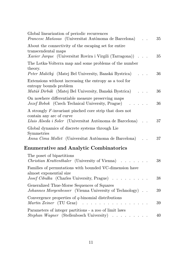| Global linearization of periodic recurrences<br>Francesc Mañosas (Universitat Autònoma de Barcelona)                                            |  | 35 |
|-------------------------------------------------------------------------------------------------------------------------------------------------|--|----|
| About the connectivity of the escaping set for entire<br>transcendental maps<br><i>Xavier Jarque</i> (Universitat Rovira i Virgili (Tarragona)) |  | 35 |
| The Lotka-Volterra map and some problems of the number<br>theory.<br>Peter Maličký (Matej Bel University, Banská Bystrica)                      |  | 36 |
| Extensions without increasing the entropy as a tool for<br>entropy bounds problem<br>Matúš Dirbák (Matej Bel University, Banská Bystrica)       |  | 36 |
| On nowhere differentiable measure preserving maps<br><i>Jozef Bobok</i> (Czech Technical University, Prague)                                    |  | 36 |
| A strongly F-invariant pinched core strip that does not<br>contain any arc of curve<br>Lluis Alseda i Soler (Universitat Autònoma de Barcelona) |  | 37 |
| Global dynamics of discrete systems through Lie<br>Symmetries<br>Anna Cima Mollet (Universitat Autònoma de Barcelona)                           |  | 37 |
| <b>Enumerative and Analytic Combinatorics</b>                                                                                                   |  |    |
| The poset of bipartitions<br><i>Christian Krattenthaler</i> (University of Vienna)                                                              |  | 38 |
| Families of permutations with bounded VC-dimension have<br>almost exponential size<br>Josef Cibulka (Charles University, Prague)                |  | 38 |
| Generalized Thue-Morse Sequences of Squares<br>Johannes Morgenbesser (Vienna University of Technology)                                          |  | 39 |

Convergence properties of  $q$ -binomial distributions Martin Zeiner (TU Graz) . . . . . . . . . . . . . . . . 39 Parameters of integer partitions - a zoo of limit laws Stephan Wagner (Stellenbosch University) . . . . . . . . . 40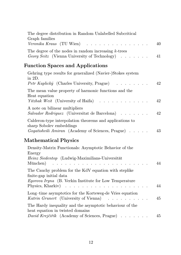| The degree distribution in Random Unlabelled Subcritical<br>Graph families<br>Veronika Kraus (TU Wien) $\ldots \ldots \ldots \ldots \ldots$ | 40 |
|---------------------------------------------------------------------------------------------------------------------------------------------|----|
| The degree of the nodes in random increasing $k$ -trees<br>Georg Seitz (Vienna University of Technology)                                    | 41 |
| <b>Function Spaces and Applications</b>                                                                                                     |    |
| Gehring type results for generalized (Navier-)Stokes system<br>in $2D$ .                                                                    |    |
| <i>Petr Kaplický</i> (Charles University, Prague) $\ldots \ldots$                                                                           | 42 |
| The mean value property of harmonic functions and the<br>Heat equation                                                                      |    |

| <i>Yitzhak Weit</i> (University of Haifa) 42                                           |    |
|----------------------------------------------------------------------------------------|----|
| A note on bilinear multipliers<br><i>Salvador Rodriguez</i> (Universitat de Barcelona) | 42 |
| Calderon-type interpolation theorems and applications to                               |    |
| sharp Sobolev embeddings<br><i>Gogatishvili Amiran</i> (Academy of Sciences, Prague)   | 43 |

## Mathematical Physics

| Density-Matrix Functionals: Asymptotic Behavior of the                                                                                            |    |
|---------------------------------------------------------------------------------------------------------------------------------------------------|----|
| Energy<br><i>Heinz Siedentop</i> (Ludwig-Maximilians-Universität<br>München) $\ldots \ldots \ldots \ldots \ldots \ldots \ldots \ldots \ldots$     | 44 |
| The Cauchy problem for the KdV equation with steplike<br>finite-gap initial data<br><i>Egorova Iryna</i> (B. Verkin Institute for Low Temperature | 44 |
| Long-time asymptotics for the Korteweg-de Vries equation<br><i>Katrin Grunert</i> (University of Vienna)                                          | 45 |
| The Hardy inequality and the asymptotic behaviour of the<br>heat equation in twisted domains<br>David Krejčiřík (Academy of Sciences, Prague)     | 45 |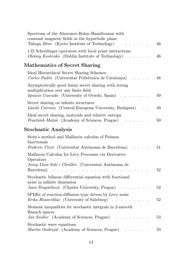| Spectrum of the Aharonov-Bohm Hamiltonian with<br>constant magnetic fields in the hyperbolic plane<br>Takuya Mine (Kyoto Institute of Technology) | 46     |
|---------------------------------------------------------------------------------------------------------------------------------------------------|--------|
| 1-D Schrödinger operators with local point interactions<br>Oleksiy Kostenko (Dublin Institute of Technology)                                      | 46     |
| <b>Mathematics of Secret Sharing</b>                                                                                                              |        |
| Ideal Hierarchical Secret Sharing Schemes<br>Carles Padró (Universitat Politècnica de Catalunya)                                                  | 48     |
| Asymptotically good linear secret sharing with strong<br>multiplication over any finite field<br>Ignacio Cascudo (University of Oviedo, Spain)    | 49     |
| Secret sharing on infinite structures<br>László Csirmaz (Central European University, Budapest)                                                   | 49     |
| Ideal secret sharing, matroids and relative entropy<br>František Matúš (Academy of Sciences, Prague)                                              | 50     |
| Stochastic Analysis                                                                                                                               |        |
| Stein's method and Malliavin calculus of Poisson<br>$\operatorname{functionals}$<br>Frederic Utzet (Universitat Autònoma de Barcelona)            | 51     |
| Malliavin Calculus for Lévy Processes via Derivative<br>Operators                                                                                 |        |
| Josep Lluís Solé i Clivillés (Universitat Autònoma de<br>Barcelona)                                                                               | 52     |
| Stochastic bilinear differential equation with fractional<br>noise in infinite dimension<br>Jana Šnupárková (Charles University, Prague)          | 52     |
| SPDEs of reaction-diffusion type driven by Levy noise<br><i>Erika Hausenblas</i> (University of Salzburg).                                        | 52     |
| Moment inequalities for stochastic integrals in 2-smooth<br>Banach spaces<br>Jan Seidler (Academy of Sciences, Prague)                            | $53\,$ |
| Stochastic wave equations<br>Martin Ondreját (Academy of Sciences, Prague)                                                                        | 53     |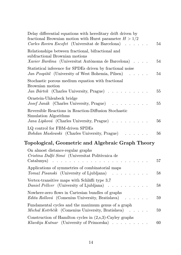| Delay differential equations with hereditary drift driven by<br>fractional Brownian motion with Hurst parameter $H > 1/2$<br>Carles Rovira Escofet (Universitat de Barcelona) | 54 |
|-------------------------------------------------------------------------------------------------------------------------------------------------------------------------------|----|
| Relationships between fractional, bifractional and<br>subfractional Brownian motions<br>Xavier Bardina (Universitat Autònoma de Barcelona).                                   | 54 |
| Statistical inference for SPDEs driven by fractional noise<br>Jan Pospíšil (University of West Bohemia, Pilsen)                                                               | 54 |
| Stochastic porous medium equation with fractional<br>Brownian motion<br>Jan Bártek (Charles University, Prague).                                                              | 55 |
| Ornstein-Uhlenbeck bridge<br>Josef Janák (Charles University, Prague)                                                                                                         | 55 |
| Reversible Reactions in Reaction-Diffusion Stochastic<br>Simulation Algorithms<br>Jana Lipková (Charles University, Prague)                                                   | 56 |
| LQ control for FBM-driven SPDEs<br>Bohdan Maslowski (Charles University, Prague)                                                                                              | 56 |
| Topological, Geometric and Algebraic Graph Theory                                                                                                                             |    |
| On almost distance-regular graphs<br>Cristina Dalfó Simó (Universitat Politècnica de<br>Catalunya)                                                                            | 57 |
| Applications of symmetries of combinatorial maps<br>Tomaž Pisanski (University of Ljubljana)                                                                                  | 58 |
| Vertex-transitive maps with Schläfli type 3,7<br><i>Daniel Pellcer</i> (University of Ljubljana)<br>$\sim$ $\sim$ $\sim$                                                      | 58 |
| Nowhere-zero flows in Cartesian bundles of graphs<br>Edita Rollová (Comenius University, Bratislava)                                                                          | 59 |
| Fundamental cycles and the maximum genus of a graph<br>Michal Kotrbčík (Comenius University, Bratislava)                                                                      | 59 |
| Construction of Hamilton cycles in $(2, s, 3)$ -Cayley graphs<br>Klavdija Kutnar (University of Primorska)<br>والمناول والمناول والمناول                                      | 60 |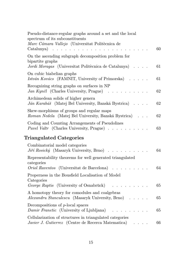| Pseudo-distance-regular graphs around a set and the local<br>spectrum of its subconstituents<br>Marc Cámara Vallejo (Universitat Politècnica de<br>$Catalunya)$ | 60 |
|-----------------------------------------------------------------------------------------------------------------------------------------------------------------|----|
| On the ascending subgraph decomposition problem for<br>bipartite graphs<br>Jordi Moragas (Universitat Politècnica de Catalunya)                                 | 61 |
| On cubic biabelian graphs<br>István Kovács (FAMNIT, University of Primorska)                                                                                    | 61 |
| Recognizing string graphs on surfaces in NP<br>Jan Kynčl (Charles University, Prague)                                                                           | 62 |
| Archimedean solids of higher genera<br>Ján Karabáš (Matej Bel University, Banská Bystrica).                                                                     | 62 |
| Skew-morphisms of groups and regular maps<br>Roman Nedela (Matej Bel University, Banská Bystrica)                                                               | 62 |
| Coding and Counting Arrangements of Pseudolines<br><i>Pavel Valtr</i> (Charles University, Prague)                                                              | 63 |
| <b>Triangulated Categories</b>                                                                                                                                  |    |
| Combinatorial model categories<br>Jiří Rosický (Masaryk University, Brno)                                                                                       | 64 |
| Representability theorems for well generated triangulated<br>categories                                                                                         |    |
| Oriol Raventos (Universitat de Barcelona)                                                                                                                       | 64 |
| Properness in the Bousfield Localisation of Model<br>Categories<br>George Raptis (University of Osnabrück)                                                      | 65 |
| A homotopy theory for comodules and coalgebras<br>Alexandru Stanculescu (Masaryk University, Brno)                                                              | 65 |
| Decompositions of $p$ -local spaces<br>Damir Franctic (University of Ljubljana)                                                                                 | 65 |
| Cellularization of structures in triangulated categories<br>Javier J. Gutierrez (Centre de Recerca Matematica)<br>$\bullet$ . In the case of the $\bullet$      | 66 |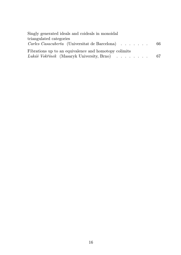| Singly generated ideals and coideals in monoidal        |  |
|---------------------------------------------------------|--|
| triangulated categories                                 |  |
| <i>Carles Casacuberta</i> (Universitat de Barcelona) 66 |  |
| Fibrations up to an equivalence and homotopy colimits   |  |
| Lukáš Vokřínek (Masaryk University, Brno) 67            |  |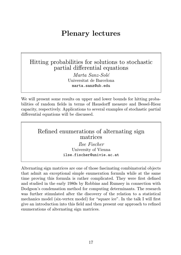# Plenary lectures

## Hitting probabilities for solutions to stochastic partial differential equations

Marta Sanz-Solé Universitat de Barcelona marta.sanz@ub.edu

We will present some results on upper and lower bounds for hitting probabilities of random fields in terms of Hausdorff measure and Bessel-Riesz capacity, respectively. Applications to several examples of stochastic partial differential equations will be discussed.

#### Refined enumerations of alternating sign matrices

Ilse Fischer University of Vienna ilse.fischer@univie.ac.at

Alternating sign matrices are one of those fascinating combinatorial objects that admit an exceptional simple enumeration formula while at the same time proving this formula is rather complicated. They were first defined and studied in the early 1980s by Robbins and Rumsey in connection with Dodgson's condensation method for computing determinants. The research was further stimulated after the discovery of the relation to a statistical mechanics model (six-vertex model) for "square ice". In the talk I will first give an introduction into this field and then present our approach to refined enumerations of alternating sign matrices.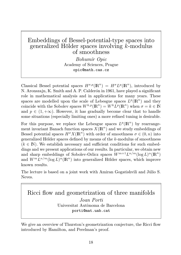## Embeddings of Bessel-potential-type spaces into generalized Hölder spaces involving k-modulus of smoothness

Bohumír Opic Academy of Sciences, Prague opic@math.cas.cz

Classical Bessel potential spaces  $H^{\sigma,p}(\mathbb{R}^n) = H^{\sigma}L^p(\mathbb{R}^n)$ , introduced by N. Aronszajn, K. Smith and A. P. Calderón in 1961, have played a significant role in mathematical analysis and in applications for many years. These spaces are modelled upon the scale of Lebesgue spaces  $L^p(\mathbb{R}^n)$  and they coincide with the Sobolev spaces  $W^{k,p}(\mathbb{R}^n) = W^k L^p(\mathbb{R}^n)$  when  $\sigma = k \in \mathbb{N}$ and  $p \in (1, +\infty)$ . However, it has gradually become clear that to handle some situations (especially limiting ones) a more refined tuning is desirable.

For this purpose, we replace the Lebesgue spaces  $L^p(\mathbb{R}^n)$  by rearrangement invariant Banach function spaces  $X(\mathbb{R}^n)$  and we study embeddings of Bessel potential spaces  $H^{\sigma} X(\mathbb{R}^n)$  with order of smoothness  $\sigma \in (0, n)$  into generalized Hölder spaces defined by means of the k-modulus of smoothness  $(k \in \mathbb{N})$ . We establish necessary and sufficient conditions for such embeddings and we present applications of our results. In particular, we obtain new and sharp embeddings of Sobolev-Orlicz spaces  $W^{m+1}L^{n/m}(\log L)^\alpha(\mathbb{R}^n)$ and  $W^m L^{n/m} (\log L)^\alpha(\mathbb{R}^n)$  into generalized Hölder spaces, which improve known results.

The lecture is based on a joint work with Amiran Gogatishvili and Júlio S. Neves.

### Ricci flow and geometrization of three manifolds Joan Porti Universitat Autònoma de Barcelona porti@mat.uab.cat

We give an overview of Thurston's geometrization conjecture, the Ricci flow introduced by Hamilton, and Perelman's proof.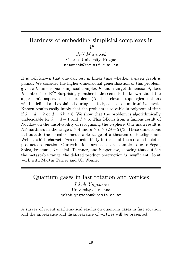# Hardness of embedding simplicial complexes in  $\breve{\mathbb{R}}^d$

Jiří Matoušek Charles University, Prague matousek@kam.mff.cuni.cz

It is well known that one can test in linear time whether a given graph is planar. We consider the higher-dimensional generalization of this problem: given a  $k$ -dimensional simplicial complex  $K$  and a target dimension  $d$ , does  $K$  embed into  $\mathbb{R}^d$ ? Surprisingly, rather little seems to be known about the algorithmic aspects of this problem. (All the relevant topological notions will be defined and explained during the talk, at least on an intuitive level.) Known results easily imply that the problem is solvable in polynomial time if  $k = d = 2$  or  $d = 2k > 6$ . We show that the problem is algorithmically undecidable for  $k = d - 1$  and  $d \geq 5$ . This follows from a famous result of Novikov on the unsolvability of recognizing the 5-sphere. Our main result is NP-hardness in the range  $d \geq 4$  and  $d \geq k \geq (2d-2)/3$ . These dimensions fall outside the so-called metastable range of a theorem of Haefliger and Weber, which characterizes embeddability in terms of the so-called deleted product obstruction. Our reductions are based on examples, due to Segal, Spiez, Freeman, Krushkal, Teichner, and Skopenkov, showing that outside the metastable range, the deleted product obstruction is insufficient. Joint work with Martin Tancer and Uli Wagner.

Quantum gases in fast rotation and vortices Jakob Yngvason University of Vienna jakob.yngvason@univie.ac.at

A survey of recent mathematical results on quantum gases in fast rotation and the appearance and disappearance of vortices will be presented.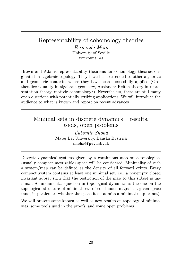# Representability of cohomology theories

Fernando Muro University of Seville fmuro@us.es

Brown and Adams representability theorems for cohomology theories originated in algebraic topology. They have been extended to other algebraic and geometric contexts, where they have been successfully applied (Grothendieck duality in algebraic geometry, Auslander-Reiten theory in representation theory, motivic cohomology?). Nevertheless, there are still many open questions with potentially striking applications. We will introduce the audience to what is known and report on recent advances.

Minimal sets in discrete dynamics – results, tools, open problems

> Ľubomír Snoha Matej Bel University, Banská Bystrica snoha@fpv.umb.sk

Discrete dynamical systems given by a continuous map on a topological (usually compact metrizable) space will be considered. Minimality of such a system/map can be defined as the density of all forward orbits. Every compact system contains at least one minimal set, i.e., a nonempty closed invariant subset such that the restriction of the map to this subset is minimal. A fundamental question in topological dynamics is the one on the topological structure of minimal sets of continuous maps in a given space (and, in particular, whether the space itself admits a minimal map or not).

We will present some known as well as new results on topology of minimal sets, some tools used in the proofs, and some open problems.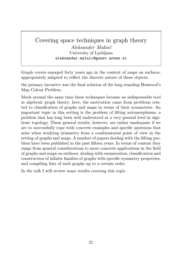### Covering space techniques in graph theory Aleksander Malnič University of Ljubljana aleksander.malnic@guest.arnes.si

Graph covers emerged forty years ago in the context of maps on surfaces, appropriately adapted to reflect the discrete nature of these objects;

the primary incentive was the final solution of the long standing Heawood's Map Colour Problem.

Much around the same time these techniques became an indispensable tool in algebraic graph theory; here, the motivation came from problems related to classification of graphs and maps in terms of their symmetries. An important topic in this setting is the problem of lifting automorphisms, a problem that has long been well understood at a very general level in algebraic topology. These general results, however, are rather inadequate if we are to successfully cope with concrete examples and specific questions that arise when studying symmetry from a combinatorial point of view in the setting of graphs and maps. A number of papers dealing with the lifting problem have been published in the past fifteen years. In terms of content they range from general considerations to more concrete applications in the field of graphs and maps on surfaces, dealing with enumeration, classification and construction of infinite families of graphs with specific symmetry properties, and compiling lists of such graphs up to a certain order.

In the talk I will review some results covering this topic.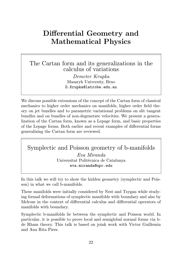# Differential Geometry and Mathematical Physics

## The Cartan form and its generalizations in the calculus of variations

Demeter Krupka Masaryk University, Brno D.Krupka@latrobe.edu.au

We discuss possible extensions of the concept of the Cartan form of classical mechanics to higher order mechanics on manifolds, higher order field theory on jet bundles and to parametric variational problems on slit tangent bundles and on bundles of non-degenerate velocities. We present a generalization of the Cartan form, known as a Lepage form, and basic properties of the Lepage forms. Both earlier and recent examples of differential forms generalizing the Cartan form are reviewed.

### Symplectic and Poisson geometry of b-manifolds Eva Miranda

Universitat Politècnica de Catalunya eva.miranda@upc.edu

In this talk we will try to show the hidden geometry (symplectic and Poisson) in what we call b-manifolds.

These manifolds were initially considered by Nest and Tsygan while studying formal deformations of symplectic manifolds with boundary and also by Melrose in the context of differential calculus and differential operators of manifolds with boundary.

Symplectic b-manifolds lie between the symplectic and Poisson world. In particular, it is possible to prove local and semiglobal normal forms via bde Rham theory. This talk is based on joink work with Victor Guillemin and Ana Rita Pires.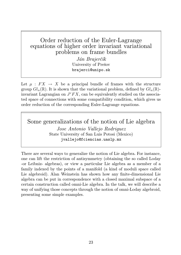# Order reduction of the Euler-Lagrange equations of higher order invariant variational problems on frame bundles

Ján Brajerčík University of Prešov brajerci@unipo.sk

Let  $\mu : F X \to X$  be a principal bundle of frames with the structure group  $Gl_n(\mathbb{R})$ . It is shown that the variational problem, defined by  $Gl_n(\mathbb{R})$ invariant Lagrangian on  $J^rFX$ , can be equivalently studied on the associated space of connections with some compatibility condition, which gives us order reduction of the corresponding Euler-Lagrange equations.

Some generalizations of the notion of Lie algebra Jose Antonio Vallejo Rodriguez State University of San Luis Potosi (Mexico) jvallejo@fciencias.uaslp.mx

There are several ways to generalize the notion of Lie algebra. For instance, one can lift the restriction of antisymmetry (obtaining the so called Loday -or Leibniz- algebras), or view a particular Lie algebra as a member of a family indexed by the points of a manifold (a kind of moduli space called Lie algebroid). Alan Weinstein has shown how any finite-dimensional Lie algebra can be put in correspondence with a closed maximal subspace of a certain construction called omni-Lie algebra. In the talk, we will describe a way of unifying those concepts through the notion of omni-Loday algebroid, presenting some simple examples.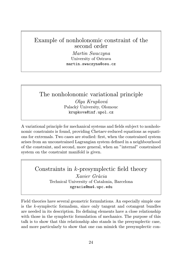# Example of nonholonomic constraint of the second order

Martin Swaczyna University of Ostrava martin.swaczyna@osu.cz

### The nonholonomic variational principle Olga Krupková Palacký University, Olomouc krupkova@inf.upol.cz

A variational principle for mechanical systems and fields subject to nonholonomic constraints is found, providing Chetaev-reduced equations as equations for extremals. Two cases are studied: first, when the constrained system arises from an unconstrained Lagrangian system defined in a neighbourhood of the constraint, and second, more general, when an "internal" constrained system on the constraint manifold is given.

## Constraints in k-presymplectic field theory

Xavier Gràcia Technical University of Catalonia, Barcelona xgracia@ma4.upc.edu

Field theories have several geometric formulations. An especially simple one is the k-symplectic formalism, since only tangent and cotangent bundles are needed in its description. Its defining elements have a close relationship with those in the symplectic formulation of mechanics. The purpose of this talk is to show that this relationship also stands in the presymplectic case, and more particularly to show that one can mimick the presymplectic con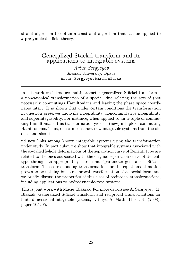straint algorithm to obtain a constraint algorithm that can be applied to k-presymplectic field theory.

#### Generalized Stäckel transform and its applications to integrable systems

Artur Sergyeyev Silesian University, Opava Artur.Sergyeyev@math.slu.cz

In this work we introduce multiparameter generalized Stäckel transform – a noncanonical transformation of a special kind relating the sets of (not necessarily commuting) Hamiltonians and leaving the phase space coordinates intact. It is shown that under certain conditions the transformation in question preserves Liouville integrability, noncommutative integrability and superintegrability. For instance, when applied to an n-tuple of commuting Hamiltonians, this transformation yields a (new) n-tuple of commuting Hamiltonians. Thus, one can construct new integrable systems from the old ones and also fi

nd new links among known integrable systems using the transformation under study. In particular, we show that integrable systems associated with the so-called k-hole deformations of the separation curve of Benenti type are related to the ones associated with the original separation curve of Benenti type through an appropriately chosen multiparameter generalized Stäckel transform. The corresponding transformation for the equations of motion proves to be nothing but a reciprocal transformation of a special form, and we briefly discuss the properties of this class of reciprocal transformations, including applications to hydrodynamic-type systems.

This is joint work with Maciej Blaszak. For more details see A. Sergyeyev, M. Blaszak, Generalized Stäckel transform and reciprocal transformations for finite-dimensional integrable systems, J. Phys. A: Math. Theor. 41 (2008), paper 105205.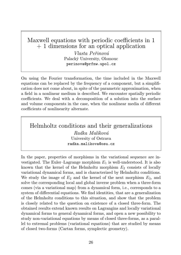# Maxwell equations with periodic coefficients in 1 + 1 dimensions for an optical application

Vlasta Peřinová Palacký University, Olomouc perinova@prfnw.upol.cz

On using the Fourier transformation, the time included in the Maxwell equations can be replaced by the frequency of a component, but a simplification does not come about, in spite of the parametric approximation, when a field in a nonlinear medium is described. We encounter spatially periodic coefficients. We deal with a decomposition of a solution into the surface and volume components in the case, when the nonlinear media of different coefficients of nonlinearity alternate.

Helmholtz conditions and their generalizations Radka Malíková University of Ostrava radka.malikova@osu.cz

In the paper, properties of morphisms in the variational sequence are investigated. The Euler–Lagrange morphism  $E_1$  is well-understood. It is also known that the kernel of the Helmholtz morphism  $E_2$  consists of locally variational dynamical forms, and is characterized by Helmholtz conditions. We study the image of  $E_2$  and the kernel of the next morphism  $E_3$ , and solve the corresponding local and global inverse problem when a three-form comes (via a variational map) from a dynamical form, i.e., corresponds to a system of differential equations. We find identities, that are a generalization of the Helmholtz conditions to this situation, and show that the problem is closely related to the question on existence of a closed three-form. The obtained results extend known results on Lagrangins and locally variational dynamical forms to general dynamical forms, and open a new possibility to study non-variational equations by means of closed three-forms, as a parallel to extremal problems (variational equations) that are studied by means of closed two-forms (Cartan forms, symplectic geometry).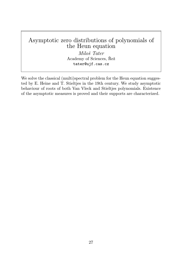# Asymptotic zero distributions of polynomials of the Heun equation

Miloš Tater Academy of Sciences, Řež tater@ujf.cas.cz

We solve the classical (multi)spectral problem for the Heun equation suggested by E. Heine and T. Stieltjes in the 19th century. We study asymptotic behaviour of roots of both Van Vleck and Stieltjes polynomials. Existence of the asymptotic measures is proved and their supports are characterized.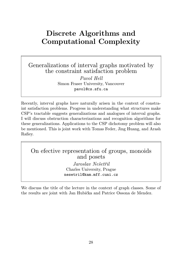# Discrete Algorithms and Computational Complexity

## Generalizations of interval graphs motivated by the constraint satisfaction problem

Pavol Hell Simon Fraser University, Vancouver pavol@cs.sfu.ca

Recently, interval graphs have naturally arisen in the context of constraint satisfaction problems. Progress in understanding what structures make CSP's tractable suggests generalizations and analogues of interval graphs. I will discuss obstruction characterizations and recognition algorithms for these generalizations. Applications to the CSP dichotomy problem will also be mentioned. This is joint work with Tomas Feder, Jing Huang, and Arash Rafiey.

## On efective representation of groups, monoids and posets

Jaroslav Nešetřil Charles University, Prague nesetril@kam.mff.cuni.cz

We discuss the title of the lecture in the context of graph classes. Some of the results are joint with Jan Hubička and Patrice Ossona de Mendez.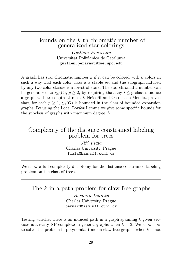### Bounds on the k-th chromatic number of generalized star colorings

Guillem Perarnau Universitat Politècnica de Catalunya guillem.perarnau@ma4.upc.edu

A graph has star chromatic number k if it can be colored with k colors in such a way that each color class is a stable set and the subgraph induced by any two color classes is a forest of stars. The star chromatic number can be generalized to  $\chi_p(G)$ ,  $p \geq 2$ , by requiring that any  $i \leq p$  classes induce a graph with treedepth at most i. Nešetřil and Ossona de Mendez proved that, for each  $p \geq 1$ ,  $\chi_p(G)$  is bounded in the class of bounded expansion graphs. By using the Local Lovász Lemma we give some specific bounds for the subclass of graphs with maximum degree  $\Delta$ .

## Complexity of the distance constrained labeling problem for trees

Jiří Fiala Charles University, Prague fiala@kam.mff.cuni.cz

We show a full complexity dichotomy for the distance constrained labeling problem on the class of trees.

The k-in-a-path problem for claw-free graphs Bernard Lidický Charles University, Prague bernard@kam.mff.cuni.cz

Testing whether there is an induced path in a graph spanning  $k$  given vertices is already NP-complete in general graphs when  $k = 3$ . We show how to solve this problem in polynomial time on claw-free graphs, when  $k$  is not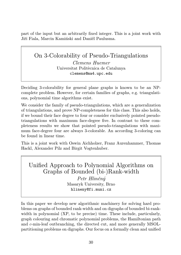part of the input but an arbitrarily fixed integer. This is a joint work with Jiří Fiala, Marcin Kamiński and Daniël Paulusma.

# On 3-Colorability of Pseudo-Triangulations Clemens Huemer Universitat Politècnica de Catalunya clemens@ma4.upc.edu

Deciding 3-colorability for general plane graphs is known to be an NPcomplete problem. However, for certain families of graphs, e.g. triangulations, polynomial time algorithms exist.

We consider the family of pseudo-triangulations, which are a generalization of triangulations, and prove NP-completeness for this class. This also holds, if we bound their face degree to four or consider exclusively pointed pseudotriangulations with maximum face-degree five. In contrast to these completeness results we show that pointed pseudo-triangulations with maximum face-degree four are always 3-colorable. An according 3-coloring can be found in linear time.

This is a joint work with Oswin Aichholzer, Franz Aurenhammer, Thomas Hackl, Alexander Pilz and Birgit Vogtenhuber.

Unified Approach to Polynomial Algorithms on Graphs of Bounded (bi-)Rank-width

> Petr Hliněný Masaryk University, Brno hlineny@fi.muni.cz

In this paper we develop new algorithmic machinery for solving hard problems on graphs of bounded rank-width and on digraphs of bounded bi-rankwidth in polynomial (XP, to be precise) time. These include, particularly, graph colouring and chromatic polynomial problems, the Hamiltonian path and c-min-leaf outbranching, the directed cut, and more generally MSOLpartitioning problems on digraphs. Our focus on a formally clean and unified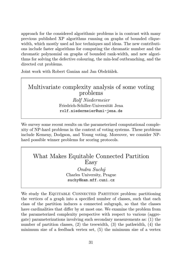approach for the considered algorithmic problems is in contrast with many previous published XP algorithms running on graphs of bounded cliquewidth, which mostly used ad hoc techniques and ideas. The new contributions include faster algorithms for computing the chromatic number and the chromatic polynomial on graphs of bounded rank-width, and new algorithms for solving the defective colouring, the min-leaf outbranching, and the directed cut problems.

Joint work with Robert Ganian and Jan Obdržálek.

# Multivariate complexity analysis of some voting problems

Rolf Niedermeier Friedrich-Schiller-Universität Jena rolf.niedermeier@uni-jena.de

We survey some recent results on the parameterized computational complexity of NP-hard problems in the context of voting systems. These problems include Kemeny, Dodgson, and Young voting. Moreover, we consider NPhard possible winner problems for scoring protocols.

### What Makes Equitable Connected Partition Easy

Ondra Suchý Charles University, Prague suchy@kam.mff.cuni.cz

We study the EQUITABLE CONNECTED PARTITION problem: partitioning the vertices of a graph into a specified number of classes, such that each class of the partition induces a connected subgraph, so that the classes have cardinalities that differ by at most one. We examine the problem from the parameterized complexity perspective with respect to various (aggregate) parameterizations involving such secondary measurements as: (1) the number of partition classes,  $(2)$  the treewidth,  $(3)$  the pathwidth,  $(4)$  the minimum size of a feedback vertex set, (5) the minimum size of a vertex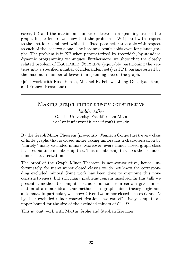cover, (6) and the maximum number of leaves in a spanning tree of the graph. In particular, we show that the problem is W[1]-hard with respect to the first four combined, while it is fixed-parameter tractable with respect to each of the last two alone. The hardness result holds even for planar graphs. The problem is in XP when parameterized by treewidth, by standard dynamic programming techniques. Furthermore, we show that the closely related problem of Equitable Coloring (equitably partitioning the vertices into a specified number of independent sets) is FPT parameterized by the maximum number of leaves in a spanning tree of the graph.

(joint work with Rosa Enciso, Michael R. Fellows, Jiong Guo, Iyad Kanj, and Frances Rosamond)

> Making graph minor theory constructive Isolde Adler Goethe University, Frankfurt am Main iadler@informatik.uni-frankfurt.de

By the Graph Minor Theorem (previously Wagner's Conjecture), every class of finite graphs that is closed under taking minors has a characterization by \*finitely\* many excluded minors. Moreover, every minor closed graph class has a cubic time membership test. This membership test uses the excluded minor characterization.

The proof of the Graph Minor Theorem is non-constructive, hence, unfortunately, for many minor closed classes we do not know the corresponding excluded minors! Some work has been done to overcome this nonconstructiveness, but still many problems remain unsolved. In this talk we present a method to compute excluded minors from certain given information of a minor ideal. Our method uses graph minor theory, logic and automata. In particular, we show: Given two minor closed classes C and D by their excluded minor characterizations, we can effectively compute an upper bound for the size of the excluded minors of  $C \cup D$ .

This is joint work with Martin Grohe and Stephan Kreutzer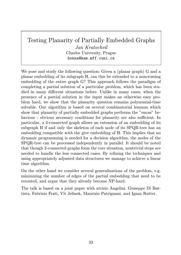# Testing Planarity of Partially Embedded Graphs

Jan Kratochvíl Charles University, Prague honza@kam.mff.cuni.cz

We pose and study the following question: Given a (planar graph) G and a planar embedding of its subgraph H, can this be extended to a noncrossing embedding of the entire graph G? This approach follows the paradigm of completing a partial solution of a particular problem, which has been studied in many different situations before. Unlike in many cases, when the presence of a partial solution in the input makes an otherwise easy problem hard, we show that the planarity question remains polynomial-time solvable. Our algorithm is based on several combinatorial lemmas which show that planarity of partially embedded graphs performs the "oncas" behaviour - obvious necessary conditions for planarity are also sufficient. In particular, a 2-connected graph allows an extension of an embedding of its subgraph H if and only the skeleton of each node of its SPQR-tree has an embedding compatible with the give embedding of H. This implies that no dynamic programming is needed for a decision algorithm, the nodes of the SPQR-tree can be processed independently in parallel. It should be noted that though 2-connected graphs form the core situation, nontrivial steps are needed to handle the less connected cases. By refining the techniques and using appropriately adjusted data structures we manage to achieve a linear time algorithm.

On the other hand we consider several generalizations of the problem, e.g. minimizing the number of edges of the partial embedding that need to be rerouted, and argue that they already become NP-hard.

The talk is based on a joint paper with atrizio Angelini, Giuseppe Di Battista, Fabrizio Frati, Vít Jelínek, Maurizio Patrignani, and Ignaz Rutter.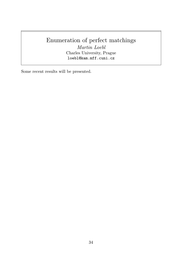# Enumeration of perfect matchings

Martin Loebl Charles University, Prague loebl@kam.mff.cuni.cz

Some recent results will be presented.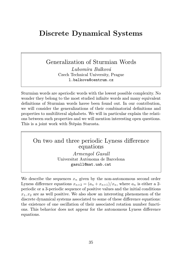# Discrete Dynamical Systems

# Generalization of Sturmian Words

Lubomíra Balková Czech Technical University, Prague l.balkova@centrum.cz

Sturmian words are aperiodic words with the lowest possible complexity. No wonder they belong to the most studied infinite words and many equivalent definitions of Sturmian words havee been found out. In our contribution, we will consider the generalizations of their combinatorial definitions and properties to multiliteral alphabets. We will in particular explain the relations between such properties and we will mention interesting open questions. This is a joint work with Štěpán Starosta.

#### On two and three periodic Lyness difference equations

Armengol Gasull Universitat Autònoma de Barcelona gasull@mat.uab.cat

We describe the sequences  $x_n$  given by the non-autonomous second order Lyness difference equations  $x_{n+2} = (a_n + x_{n+1})/x_n$ , where  $a_n$  is either a 2periodic or a 3-periodic sequence of positive values and the initial conditions  $x_1, x_2$  are as well positive. We also show an interesting phenomenon of the discrete dynamical systems associated to some of these difference equations: the existence of one oscillation of their associated rotation number functions. This behavior does not appear for the autonomous Lyness difference equations.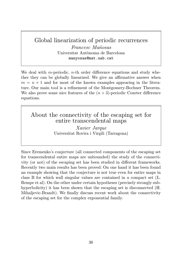# Global linearization of periodic recurrences

Francesc Mañosas Universitat Autònoma de Barcelona manyosas@mat.uab.cat

We deal with m-periodic,  $n$ -th order difference equations and study whether they can be globally linearized. We give an affirmative answer when  $m = n + 1$  and for most of the known examples appearing in the literature. Our main tool is a refinement of the Montgomery-Bochner Theorem. We also prove some nice features of the  $(n+3)$ -periodic Coxeter difference equations.

About the connectivity of the escaping set for entire transcendental maps

> Xavier Jarque Universitat Rovira i Virgili (Tarragona)

Since Eremenko's conjecture (all connected components of the escaping set for transcendental entire maps are unbounded) the study of the connectivity (or not) of the escaping set has been studied in different frameworks. Recently two main results has been proved: On one hand it has been found an example showing that the conjecture is not true even for entire maps in class B for which wall singular values are contained in a compact set (L. Rempe et al). On the other under certain hypotheses (precisely strongly subhyperbolicity) it has been shown that the escaping set is disconnected  $(H.$ Mihaljevic-Brandt). We finally discuss recent work about the connectivity of the escaping set for the complex exponential family.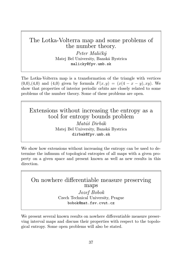# The Lotka-Volterra map and some problems of the number theory.

Peter Maličký Matej Bel University, Banská Bystrica malicky@fpv.umb.sk

The Lotka-Volterra map is a transformation of the triangle with vertices  $(0,0),(4,0)$  and  $(4,0)$  given by formula  $F(x,y) = (x(4-x-y), xy)$ . We show that properties of interior periodic orbits are closely related to some problems of the number theory. Some of these problems are open.

Extensions without increasing the entropy as a tool for entropy bounds problem Matúš Dirbák Matej Bel University, Banská Bystrica dirbak@fpv.umb.sk

We show how extensions without increasing the entropy can be used to determine the infimum of topological entropies of all maps with a given property on a given space and present known as well as new results in this direction.

#### On nowhere differentiable measure preserving maps

Jozef Bobok Czech Technical University, Prague bobok@mat.fsv.cvut.cz

We present several known results on nowhere differentiable measure preserving interval maps and discuss their properties with respect to the topological entropy. Some open problems will also be stated.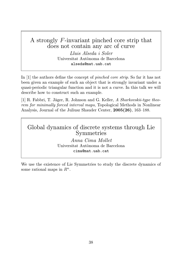# A strongly F-invariant pinched core strip that does not contain any arc of curve

Lluis Alseda i Soler Universitat Autònoma de Barcelona alseda@mat.uab.cat

In [1] the authors define the concept of pinched core strip. So far it has not been given an example of such an object that is strongly invariant under a quasi-periodic triangular function and it is not a curve. In this talk we will describe how to construct such an example.

[1] R. Fabbri, T. Jäger, R. Johnson and G. Keller, A Sharkovskii-type theorem for minimally forced interval maps, Topological Methods in Nonlinear Analysis, Journal of the Juliusz Shauder Center, 2005(26), 163–188.

## Global dynamics of discrete systems through Lie Symmetries

Anna Cima Mollet Universitat Autònoma de Barcelona cima@mat.uab.cat

We use the existence of Lie Symmetries to study the discrete dynamics of some rational maps in  $R^n$ .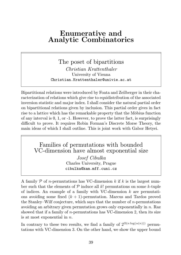# Enumerative and Analytic Combinatorics

The poset of bipartitions Christian Krattenthaler University of Vienna Christian.Krattenthaler@univie.ac.at

Bipartitional relations were introduced by Foata and Zeilberger in their characterization of relations which give rise to equidistribution of the associated inversion statistic and major index. I shall consider the natural partial order on bipartitional relations given by inclusion. This partial order gives in fact rise to a lattice which has the remarkable property that the Möbius function of any interval is 0, 1, or -1. However, to prove the latter fact, is surprisingly difficult to prove. It requires Robin Forman's Discrete Morse Theory, the main ideas of which I shall outline. This is joint work with Gabor Hetyei.

# Families of permutations with bounded VC-dimension have almost exponential size

Josef Cibulka Charles University, Prague cibulka@kam.mff.cuni.cz

A family  $P$  of *n*-permutations has VC-dimension  $k$  if  $k$  is the largest number such that the elements of  $P$  induce all k! permutations on some k-tuple of indices. An example of a family with VC-dimension  $k$  are permutations avoiding some fixed  $(k + 1)$ -permutation. Marcus and Tardos proved the Stanley–Wilf conjecture, which says that the number of  $n$ -permutations avoiding an arbitrary given permutation grows only exponentially in n. Raz showed that if a family of  $n$ -permutations has VC-dimension 2, then its size is at most exponential in  $n$ .

In contrary to these two results, we find a family of  $2^{\Omega(n \log(\alpha(n)))}$  permutations with VC-dimension 3. On the other hand, we show the upper bound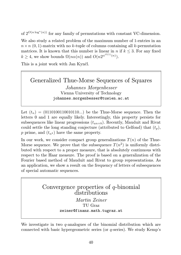of  $2^{O(n \log^*(n))}$  for any family of permutations with constant VC-dimension.

We also study a related problem of the maximum number of 1-entries in an  $n \times n$  (0, 1)-matrix with no k-tuple of columns containing all k-permutation matrices. It is known that this number is linear in n if  $k \leq 3$ . For any fixed  $k \geq 4$ , we show bounds  $\Omega(n\alpha(n))$  and  $O(n2^{\alpha^{O(1)}(n)})$ .

This is a joint work with Jan Kynčl.

# Generalized Thue-Morse Sequences of Squares Johannes Morgenbesser Vienna University of Technology johannes.morgenbesser@tuwien.ac.at

Let  $(t_n) = (0110100110010110...)$  be the Thue-Morse sequence. Then the letters 0 and 1 are equally likely. Interestingly, this property persists for subsequences like linear progressions  $(t_{an+b})$ . Recently, Mauduit and Rivat could settle the long standing conjecture (attributed to Gelfond) that  $(t_p)$ , p prime, and  $(t_{n^2})$  have the same property.

In our work, we consider compact group generalizations  $T(n)$  of the Thue-Morse sequence. We prove that the subsequence  $T(n^2)$  is uniformly distributed with respect to a proper measure, that is absolutely continuous with respect to the Haar measure. The proof is based on a generalization of the Fourier based method of Mauduit and Rivat to group representations. As an application, we show a result on the frequency of letters of subsequences of special automatic sequences.

> Convergence properties of q-binomial distributions Martin Zeiner TU Graz zeiner@finanz.math.tugraz.at

We investigate in two  $q$ -analogues of the binomial distribution which are connected with basic hypergeometric series (or q-series). We study Kemp's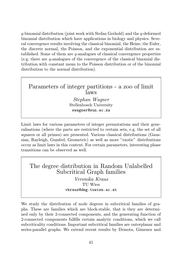$q$ -binomial distribution (joint work with Stefan Gerhold) and the  $q$ -deformed binomial distribution which have applications in biology and physics. Several convergence results involving the classical binomial, the Heine, the Euler, the discrete normal, the Poisson, and the exponential distribution are established. Some of them are q-analogues of classical convergence properties (e.g. there are q-analogues of the convergence of the classical binomial distribution with constant mean to the Poisson distribution or of the binomial distribution to the normal distribution).

#### Parameters of integer partitions - a zoo of limit laws

Stephan Wagner Stellenbosch University swagner@sun.ac.za

Limit laws for various parameters of integer permutations and their generalisations (where the parts are restricted to certain sets, e.g. the set of all squares or all primes) are presented. Various classical distributions (Gaussian, Rayleigh, Gumbel, Geometric) as well as more "exotic" distributions occur as limit laws in this context. For certain parameters, interesting phase transitions can be observed as well.

# The degree distribution in Random Unlabelled Subcritical Graph families

Veronika Kraus TU Wien vkraus@dmg.tuwien.ac.at

We study the distribution of node degrees in subcritical families of graphs. These are families which are block-stable, that is they are determined only by their 2-connected components, and the generating function of 2-connected components fulfills certain analytic conditions, which we call subcriticality conditions. Important subcritical families are outerplanar and series-parallel graphs. We extend recent results by Drmota, Gimenez and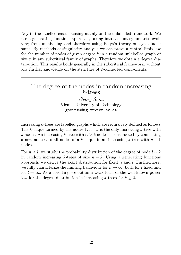Noy in the labelled case, focusing mainly on the unlabelled framework. We use a generating functions approach, taking into account symmetries evolving from unlabelling and therefore using Polya's theory on cycle index sums. By methods of singularity analysis we can prove a central limit law for the number of nodes of given degree  $k$  in a random unlabelled graph of size  $n$  in any subcritical family of graphs. Therefore we obtain a degree distribution. This results holds generally in the subcritical framework, without any further knowledge on the structure of 2-connected components.

#### The degree of the nodes in random increasing k-trees

Georg Seitz Vienna University of Technology gseitz@dmg.tuwien.ac.at

Increasing k-trees are labelled graphs which are recursively defined as follows: The k-clique formed by the nodes  $1, \ldots, k$  is the only increasing k-tree with k nodes. An increasing k-tree with  $n > k$  nodes is constructed by connecting a new node n to all nodes of a k-clique in an increasing k-tree with  $n-1$ nodes.

For  $n \geq l$ , we study the probability distribution of the degree of node  $l + k$ in random increasing k-trees of size  $n + k$ . Using a generating functions approach, we derive the exact distribution for fixed  $n$  and  $l$ . Furthermore, we fully characterize the limiting behaviour for  $n \to \infty$ , both for l fixed and for  $l \to \infty$ . As a corollary, we obtain a weak form of the well-known power law for the degree distribution in increasing  $k$ -trees for  $k \geq 2$ .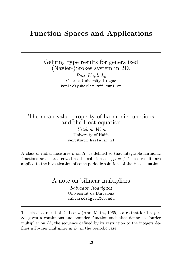# Function Spaces and Applications

Gehring type results for generalized (Navier-)Stokes system in 2D.

> Petr Kaplický Charles University, Prague kaplicky@karlin.mff.cuni.cz

### The mean value property of harmonic functions and the Heat equation

Yitzhak Weit University of Haifa weit@math.haifa.ac.il

A class of radial measures  $\mu$  on  $\mathbb{R}^n$  is defined so that integrable harmonic functions are characterized as the solutions of  $f\mu = f$ . These results are applied to the investigation of some periodic solutions of the Heat equation.

> A note on bilinear multipliers Salvador Rodriguez Universitat de Barcelona

> > salvarodriguez@ub.edu

The classical result of De Leeuw (Ann. Math., 1965) states that for  $1 < p <$  $\infty$ , given a continuous and bounded function such that defines a Fourier multiplier on  $L^p$ , the sequence defined by its restriction to the integers defines a Fourier multiplier in  $L^p$  in the periodic case.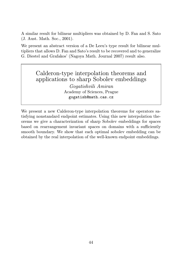A similar result for bilinear multipliers was obtained by D. Fan and S. Sato (J. Aust. Math. Soc., 2001).

We present an abstract version of a De Leeu's type result for bilinear multipliers that allows D. Fan and Sato's result to be recovered and to generalize G. Diestel and Grafakos' (Nagoya Math. Journal 2007) result also.

# Calderon-type interpolation theorems and applications to sharp Sobolev embeddings

Gogatishvili Amiran Academy of Sciences, Prague gogatish@math.cas.cz

We present a new Calderon-type interpolation theorems for operators satisfying nonstandard endpoint estimates. Using this new interpolation theorems we give a characterization of sharp Sobolev embeddings for spaces based on rearrangement invariant spaces on domains with a sufficiently smooth boundary. We show that each optimal sobolev embedding can be obtained by the real interpolation of the well-known endpoint embeddings.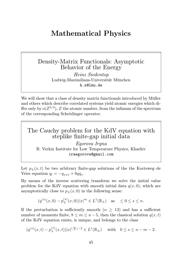# Mathematical Physics

## Density-Matrix Functionals: Asymptotic Behavior of the Energy

Heinz Siedentop Ludwig-Maximilians-Universität München h.s@lmu.de

We will show that a class of density matrix functionals introduced by Müller and others which describe correlated systems yield atomic energies which differ only by  $o(Z^{5/3})$ , Z the atomic number, from the infimum of the spectrum of the corresponding Schrödinger operator.

# The Cauchy problem for the KdV equation with steplike finite-gap initial data Egorova Iryna

B. Verkin Institute for Low Temperature Physics, Kharkiv iraegorova@gmail.com

Let  $p_{+}(x,t)$  be two arbitrary finite-gap solutions of the the Korteweg–de Vries equation  $q_t = -q_{xxx} + 6qq_x$ .

By means of the inverse scattering transform we solve the initial value problem for the KdV equation with smooth initial data  $q(x, 0)$ , which are asymptotically close to  $p_{+}(x, 0)$  in the following sense:

$$
(q^{(s)}(x,0)-p^{(s)}_{\pm}(x,0))|x|^m\in L^1(\mathbb{R}_{\pm})\quad \text{as}\quad \leq 0\leq s\leq n.
$$

If the perturbation is sufficiently smooth  $(n > 13)$  and has a sufficient number of moments finite,  $8 \le m \le n-5$ , then the classical solution  $q(x,t)$ of the KdV equation exists, is unique, and belongs to the class

$$
(q^{(s)}(x,t) - p_{\pm}^{(s)}(x,t)) |x|^{\lfloor \frac{m}{2} \rfloor - 2} \in L^1(\mathbb{R}_{\pm})
$$
 with  $0 \le s \le n - m - 2$ .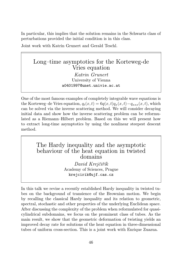In particular, this implies that the solution remains in the Schwartz class of perturbations provided the initial condition is in this class.

Joint work with Katrin Grunert and Gerald Teschl.

Long–time asymptotics for the Korteweg-de Vries equation Katrin Grunert University of Vienna a0401997@unet.univie.ac.at

One of the most famous examples of completely integrable wave equations is the Korteweg–de Vries equation,  $q_t(x,t) = 6q(x,t)q_x(x,t) - q_{xxx}(x,t)$ , which can be solved via the inverse scattering method. We will consider decaying initial data and show how the inverse scattering problem can be reformulated as a Riemann–Hilbert problem. Based on this we will present how to extract long-time asymptotics by using the nonlinear steepest descent method.

### The Hardy inequality and the asymptotic behaviour of the heat equation in twisted domains

David Krejčiřík Academy of Sciences, Prague krejcirik@ujf.cas.cz

In this talk we revise a recently established Hardy inequality in twisted tubes on the background of transience of the Brownian motion. We begin by recalling the classical Hardy inequality and its relation to geometric, spectral, stochastic and other properties of the underlying Euclidean space. After discussing the complexity of the problem when reformulated for quasicylindrical subdomains, we focus on the prominent class of tubes. As the main result, we show that the geometric deformation of twisting yields an improved decay rate for solutions of the heat equation in three-dimensional tubes of uniform cross-section. This is a joint work with Enrique Zuazua.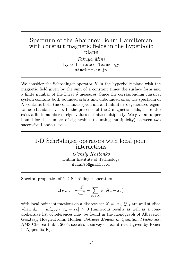## Spectrum of the Aharonov-Bohm Hamiltonian with constant magnetic fields in the hyperbolic plane

Takuya Mine Kyoto Institute of Technology mine@kit.ac.jp

We consider the Schrödinger operator  $H$  in the hyperbolic plane with the magnetic field given by the sum of a constant times the surface form and a finite number of the Dirac  $\delta$  measures. Since the corresponding classical system contains both bounded orbits and unbounded ones, the spectrum of H contains both the continuous spectrum and infinitely degenerated eigenvalues (Landau levels). In the presence of the  $\delta$  magnetic fields, there also exist a finite number of eigenvalues of finite multiplicity. We give an upper bound for the number of eigenvalues (counting multiplicity) between two successive Landau levels.

### 1-D Schrödinger operators with local point interactions

Oleksiy Kostenko Dublin Institute of Technology duzer80@gmail.com

Spectral properties of 1-D Schrödinger operators

$$
H_{X,\alpha} := -\frac{d^2}{dx^2} + \sum_{x_n \in X} \alpha_n \delta(x - x_n)
$$

with local point interactions on a discrete set  $X = \{x_n\}_{n=1}^{\infty}$  are well studied when  $d_* := \inf_{n,k \in \mathbb{N}} |x_n - x_k| > 0$  (numerous results as well as a comprehensive list of references may be found in the monograph of Albeverio, Gesztesy, Hoegh-Krohn, Holden, Solvable Models in Quantum Mechanics, AMS Chelsea Publ., 2005; see also a survey of recent result given by Exner in Appendix K).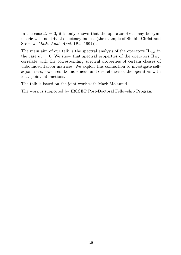In the case  $d_* = 0$ , it is only known that the operator  $H_{X,\alpha}$  may be symmetric with nontrivial deficiency indices (the example of Shubin Christ and Stolz, J. Math. Anal. Appl. 184 (1994)).

The main aim of our talk is the spectral analysis of the operators  $H_{X,\alpha}$  in the case  $d_* = 0$ . We show that spectral properties of the operators  $H_{X,\alpha}$ correlate with the corresponding spectral properties of certain classes of unbounded Jacobi matrices. We exploit this connection to investigate selfadjointness, lower semiboundedness, and discreteness of the operators with local point interactions.

The talk is based on the joint work with Mark Malamud.

The work is supported by IRCSET Post-Doctoral Fellowship Program.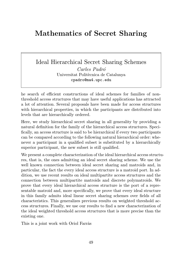# Mathematics of Secret Sharing

Ideal Hierarchical Secret Sharing Schemes Carles Padró Universitat Politècnica de Catalunya cpadro@ma4.upc.edu

he search of efficient constructions of ideal schemes for families of nonthreshold access structures that may have useful applications has attracted a lot of attention. Several proposals have been made for access structures with hierarchical properties, in which the participants are distributed into levels that are hierarchically ordered.

Here, we study hierarchical secret sharing in all generality by providing a natural definition for the family of the hierarchical access structures. Specifically, an access structure is said to be hierarchical if every two participants can be compared according to the following natural hierarchical order: whenever a participant in a qualified subset is substituted by a hierarchically superior participant, the new subset is still qualified.

We present a complete characterization of the ideal hierarchical access structures, that is, the ones admitting an ideal secret sharing scheme. We use the well known connection between ideal secret sharing and matroids and, in particular, the fact the every ideal access structure is a matroid port. In addition, we use recent results on ideal multipartite access structures and the connection between multipartite matroids and discrete polymatroids. We prove that every ideal hierarchical access structure is the port of a representable matroid and, more specifically, we prove that every ideal structure in this family admits ideal linear secret sharing schemes over fields of all characteristics. This generalizes previous results on weighted threshold access structures. Finally, we use our results to find a new characterization of the ideal weighted threshold access structures that is more precise than the existing one.

This is a joint work with Oriol Farràs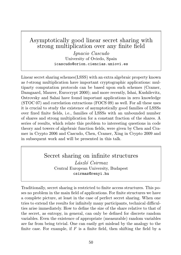# Asymptotically good linear secret sharing with strong multiplication over any finite field

Ignacio Cascudo University of Oviedo, Spain icascudo@orion.ciencias.uniovi.es

Linear secret sharing schemes(LSSS) with an extra algebraic property known as t-strong multiplication have important cryptographic applications: multiparty computation protocols can be based upon such schemes (Cramer, Damgaard, Maurer, Eurocrypt 2000); and more recently, Ishai, Kushilevitz, Ostrovsky and Sahai have found important applications in zero knowledge (STOC 07) and correlation extractions (FOCS 09) as well. For all these uses it is crucial to study the existence of asymptotically good families of LSSSs over fixed finite fields, i.e., families of LSSSs with an unbounded number of shares and strong multiplication for a constant fraction of the shares. A series of results, which relate this problem to interesting questions in code theory and towers of algebraic function fields, were given by Chen and Cramer in Crypto 2006 and Cascudo, Chen, Cramer, Xing in Crypto 2009 and in subsequent work and will be presented in this talk.

#### Secret sharing on infinite structures László Csirmaz Central European University, Budapest csirmaz@renyi.hu

Traditionally, secret sharing is restricted to finite access structures. This poses no problem in the main field of applications. For finite structures we have a complete picture, at least in the case of perfect secret sharing. When one tries to extend the results for infinitely many participants, technical difficulties arise immediately. How to define the size of the share relative to that of the secret, as entropy, in general, can only be defined for discrete random variables. Even the existence of appropriate (measurable) random variables are far from being trivial. One can easily get mislead by the analogy to the finite case. For example, if  $F$  is a finite field, then shifting the field by a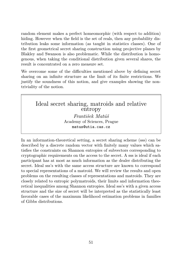random element makes a perfect homeomorphic (with respect to addition) hiding. However when the field is the set of reals, then any probability distribution leaks some information (as taught in statistics classes). One of the first geometrical secret sharing construction using projective planes by Blakley and Swanson is also problematic. While the distribution is homogenous, when taking the conditional distribution given several shares, the result is concentrated on a zero measure set.

We overcome some of the difficulties mentioned above by defining secret sharing on an infinite structure as the limit of its finite restrictions. We justify the soundness of this notion, and give examples showing the nontriviality of the notion.

Ideal secret sharing, matroids and relative entropy František Matúš Academy of Sciences, Prague matus@utia.cas.cz

In an information-theoretical setting, a secret sharing scheme (sss) can be described by a discrete random vector with finitely many values which satisfies the constraints on Shannon entropies of subvectors corresponding to cryptographic requirements on the access to the secret. A sss is ideal if each participant has at most as much information as the dealer distributing the secret. Ideal sss's with the same access structure are known to correspond to special representations of a matroid. We will review the results and open problems on the resulting classes of representations and matroids. They are closely related to entropic polymatroids, their limits and information theoretical inequalities among Shannon entropies. Ideal sss's with a given access structure and the size of secret will be interpreted as the statistically least favorable cases of the maximum likelihood estimation problems in families of Gibbs distributions.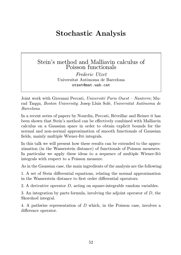# Stochastic Analysis

#### Stein's method and Malliavin calculus of Poisson functionals

Frederic Utzet Universitat Autònoma de Barcelona utzet@mat.uab.cat

Joint work with Giovanni Peccati, Université Paris Ouest – Nanterre; Murad Taqqu, Boston University; Josep Lluís Solé, Universitat Autònoma de Barcelona

In a recent series of papers by Nourdin, Peccati, Réveillac and Reiner it has been shown that Stein's method can be effectively combined with Malliavin calculus on a Gaussian space in order to obtain explicit bounds for the normal and non-normal approximation of smooth functionals of Gaussian fields, mainly multiple Wiener-Itô integrals.

In this talk we will present how these results can be extended to the approximation (in the Wasserstein distance) of functionals of Poisson measures. In particular we apply these ideas to a sequence of multiple Wiener-Itô integrals with respect to a Poisson measure.

As in the Gaussian case, the main ingredients of the analysis are the following:

1. A set of Stein differential equations, relating the normal approximation in the Wasserstein distance to first order differential operators.

2. A derivative operator D, acting on square-integrable random variables.

3. An integration by parts formula, involving the adjoint operator of  $D$ , the Skorohod integral.

4. A pathwise representation of D which, in the Poisson case, involves a difference operator.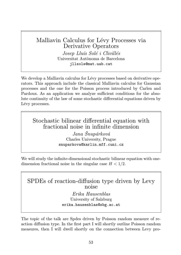### Malliavin Calculus for Lévy Processes via Derivative Operators Josep Lluís Solé i Clivillés Universitat Autònoma de Barcelona jllsole@mat.uab.cat

We develop a Malliavin calculus for Lévy processes based on derivative operators. This approach include the classical Malliavin calculus for Gaussian processes and the one for the Poisson process introduced by Carlen and Pardoux. As an application we analyze sufficient conditions for the absolute continuity of the law of some stochastic differential equations driven by Lévy processes.

# Stochastic bilinear differential equation with fractional noise in infinite dimension

Jana Šnupárková Charles University, Prague snuparkova@karlin.mff.cuni.cz

We will study the infinite-dimensional stochastic bilinear equation with onedimension fractional noise in the singular case  $H < 1/2$ .

# SPDEs of reaction-diffusion type driven by Levy noise

Erika Hausenblas University of Salzburg erika.hausenblas@sbg.ac.at

The topic of the talk are Spdes driven by Poisson random measure of reaction diffusion type. In the first part I will shortly outline Poisson random measures, then I will dwell shortly on the connection between Levy pro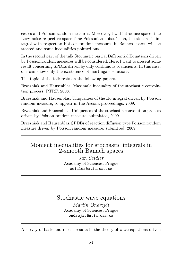cesses and Poisson random measures. Moreover, I will introduce space time Levy noise respective space time Poissonian noise. Then, the stochastic integral with respect to Poisson random measures in Banach spaces will be treated and some inequalities pointed out.

In the second part of the talk Stochastic partial Differential Equations driven by Possion random measures will be considered. Here, I want to present some result concerning SPDEs driven by only continuous coefficients. In this case, one can show only the existstence of martingale solutions.

The topic of the talk rests on the following papers.

Brzezniak and Hausenblas, Maximale inequality of the stochastic convolution process, PTRF, 2008.

Brzezniak and Hausenblas, Uniqueness of the Ito integral driven by Poisson random measure, to appear in the Ascona proceedings, 2009.

Brzezniak and Hausenblas, Uniqueness of the stochastic convolution process driven by Poisson random measure, submitted, 2009.

Brzezniak and Hausenblas, SPDEs of reaction diffusion type Poisson random measure driven by Poisson random measure, submitted, 2009.

# Moment inequalities for stochastic integrals in 2-smooth Banach spaces

Jan Seidler Academy of Sciences, Prague seidler@utia.cas.cz

#### Stochastic wave equations Martin Ondreját Academy of Sciences, Prague ondrejat@utia.cas.cz

A survey of basic and recent results in the theory of wave equations driven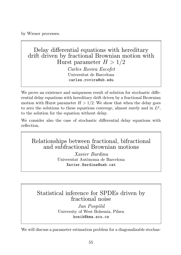by Wiener processes.

Delay differential equations with hereditary drift driven by fractional Brownian motion with Hurst parameter  $H > 1/2$ 

> Carles Rovira Escofet Universitat de Barcelona carles.rovira@ub.edu

We prove an existence and uniqueness result of solution for stochastic differential delay equations with hereditary drift driven by a fractional Brownian motion with Hurst parameter  $H > 1/2$ . We show that when the delay goes to zero the solutions to these equations converge, almost surely and in  $L^p$ , to the solution for the equation without delay.

We consider also the case of stochastic differential delay equations with reflection.

Relationships between fractional, bifractional and subfractional Brownian motions

> Xavier Bardina Universitat Autònoma de Barcelona Xavier.Bardina@uab.cat

Statistical inference for SPDEs driven by fractional noise

> Jan Pospíšil University of West Bohemia, Pilsen honik@kma.zcu.cz

We will discuss a parameter estimation problem for a diagonalizable stochas-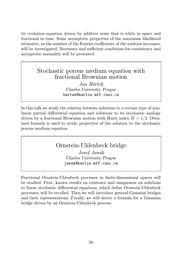tic evolution equation driven by additive noise that is white in space and fractional in time. Some asymptotic properties of the maximum likelihood estimator, as the number of the Fourier coefficients of the solution increases, will be investigated. Necessary and sufficient conditions for consistency and asymptotic normality will be presented.

## Stochastic porous medium equation with fractional Brownian motion

Jan Bártek Charles University, Prague bartek@karlin.mff.cuni.cz

In this talk we study the relation between solutions to a certain type of nonlinear partial differential equation and solutions to its stochastic analogy driven by a fractional Brownian motion with Hurst index  $H > 1/2$ . Obtained formula is used to study properties of the solution to the stochastic porous medium equation.

## Ornstein-Uhlenbeck bridge

Josef Janák Charles University, Prague janak@karlin.mff.cuni.cz

Fractional Ornstein-Uhlenbeck processes in finite-dimensional spaces will be studied. First, known results on existence and uniqueness on solutions to linear stochastic differential equations, which define Ornstein-Uhlenbeck processes, will be recalled. Then we will introduce general Gaussian bridges and their representations. Finally, we will derive a formula for a Gaussian bridge driven by an Ornstein-Uhlenbeck process.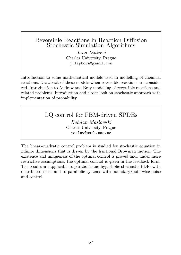## Reversible Reactions in Reaction-Diffusion Stochastic Simulation Algorithms

Jana Lipková Charles University, Prague j.lipkova@gmail.com

Introduction to some mathematical models used in modelling of chemical reactions. Drawback of these models when reversible reactions are considered. Introduction to Andrew and Bray modelling of reversible reactions and related problems. Introduction and closer look on stochastic approach with implementation of probability.

LQ control for FBM-driven SPDEs

Bohdan Maslowski Charles University, Prague maslow@math.cas.cz

The linear-quadratic control problem is studied for stochastic equation in infinite dimensions that is driven by the fractional Brownian motion. The existence and uniqueness of the optimal control is proved and, under more restrictive assumptions, the optimal conrtol is given in the feedback form. The results are applicable to parabolic and hyperbolic stochastic PDEs with distributed noise and to parabolic systems with boundary/pointwise noise and control.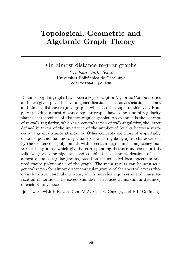# Topological, Geometric and Algebraic Graph Theory

On almost distance-regular graphs Cristina Dalfó Simó Universitat Politècnica de Catalunya cdalfo@ma4.upc.edu

Distance-regular graphs have been a key concept in Algebraic Combinatorics and have given place to several generalizations, such as association schemes and almost distance-regular graphs, which are the topic of this talk. Roughly speaking, almost distance-regular graphs have some kind of regularity that is characteristic of distance-regular graphs. An example is the concept of m-walk regularity, which is a generalization of walk-regularity, the latter defined in terms of the invariance of the number of l-walks between vertices at a given distance at most m. Other concepts are those of m-partially distance-polynomial and m-partially distance-regular graphs, characterized by the existence of polynomials with a certain degree in the adjacency matrix of the graphs, which give its corresponding distance matrices. In this talk, we give some algebraic and combinatorial characterizations of such almost distance-regular graphs, based on the so-called local spectrum and predistance polynomials of the graph. The main results can be seen as a generalization for almost distance-regular graphs of the spectral excess theorem for distance-regular graphs, which provides a quasi-spectral characterization in terms of the excess (number of vertices at maximum distance) of each of its vertices.

(joint work with E.R. van Dam, M.A. Fiol, E. Garriga, and B.L. Gorissen).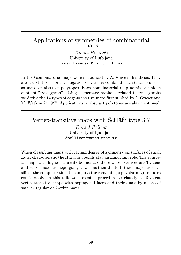# Applications of symmetries of combinatorial maps

Tomaž Pisanski University of Liubliana Tomaz.Pisanski@fmf.uni-lj.si

In 1980 combinatorial maps were introduced by A. Vince in his thesis. They are a useful tool for investigation of various combinatorial structures such as maps or abstract polytopes. Each combinatorial map admits a unique quotient "type graph". Using elementary methods related to type graphs we derive the 14 types of edge-transitive maps first studied by J. Graver and M. Watkins in 1997. Applications to abstract polytopes are also mentioned.

Vertex-transitive maps with Schläfli type 3,7 Daniel Pellcer University of Ljubljana dpellicer@matem.unam.mx

When classifying maps with certain degree of symmetry on surfaces of small Euler characteristic the Hurwitz bounds play an important role. The equivelar maps with highest Hurwitz bounds are those whose vertices are 3-valent and whose faces are heptagons, as well as their duals. If these maps are classified, the computer time to compute the remaining equivelar maps reduces considerably. In this talk we present a procedure to classify all 3-valent vertex-transitive maps with heptagonal faces and their duals by means of smaller regular or 2-orbit maps.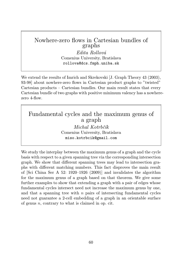## Nowhere-zero flows in Cartesian bundles of graphs

Edita Rollová Comenius University, Bratislava rollova@dcs.fmph.uniba.sk

We extend the results of Imrich and Skrekovski [J. Graph Theory 43 (2003), 93-98] about nowhere-zero flows in Cartesian product graphs to "twisted" Cartesian products – Cartesian bundles. Our main result states that every Cartesian bundle of two graphs with positive minimum valency has a nowherezero 4-flow.

Fundamental cycles and the maximum genus of a graph Michal Kotrbčík

Comenius University, Bratislava miso.kotrbcik@gmail.com

We study the interplay between the maximum genus of a graph and the cycle basis with respect to a given spanning tree via the corresponding intersection graph. We show that different spanning trees may lead to intersection graphs with different matching numbers. This fact disproves the main result of [Sci China Ser A 52: 1920–1926 (2009)] and invalidates the algorithm for the maximum genus of a graph based on that theorem. We give some further examples to show that extending a graph with a pair of edges whose fundamental cycles intersect need not increase the maximum genus by one, and that a spanning tree with  $n$  pairs of intersecting fundamental cycles need not guarantee a 2-cell embedding of a graph in an orientable surface of genus  $n$ , contrary to what is claimed in op. cit.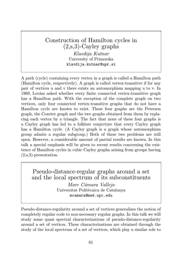# Construction of Hamilton cycles in (2,s,3)-Cayley graphs Klavdija Kutnar University of Primorska klavdija.kutnar@upr.si

A path (cycle) containing every vertex in a graph is called a Hamilton path (Hamilton cycle, respectively). A graph is called vertex-transitive if for any pair of vertices u and v there exists an automorphism mapping u to v. In 1969, Lovász asked whether every finite connected vertex-transitive graph has a Hamilton path. With the exception of the complete graph on two vertices, only four connected vertex-transitive graphs that do not have a Hamilton cycle are known to exist. These four graphs are the Petersen graph, the Coxeter graph and the two graphs obtained from them by replacing each vertex by a triangle. The fact that none of these four graphs is a Cayley graph has led to a folklore conjecture that every Cayley graph has a Hamilton cycle. (A Cayley graph is a graph whose automorphism group admits a regular subgroup.) Both of these two problems are still open. However, a considerable amount of partial results are known. In this talk a special emphasis will be given to recent results concerning the existence of Hamilton cycles in cubic Cayley graphs arising from groups having (2,s,3)-presentation.

Pseudo-distance-regular graphs around a set and the local spectrum of its subconstituents

Marc Cámara Vallejo Universitat Politècnica de Catalunya mcamara@ma4.upc.edu

Pseudo-distance-regularity around a set of vertices generalizes the notion of completely regular code to non-necessary regular graphs. In this talk we will study some quasi spectral characterizations of pseudo-distance-regularity around a set of vertices. These characterizations are obtained through the study of the local spectrum of a set of vertices, which play a similar role to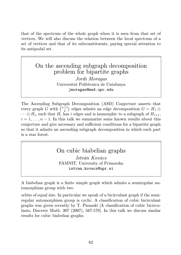that of the spectrum of the whole graph when it is seen from that set of vertices. We will also discuss the relation between the local spectrum of a set of vertices and that of its subconstituents, paying special attention to its antipodal set.

## On the ascending subgraph decomposition problem for bipartite graphs

Jordi Moragas Universitat Politècnica de Catalunya jmoragas@ma4.upc.edu

The Ascending Subgraph Decomposition (ASD) Conjecture asserts that every graph G with  $\binom{n+1}{2}$  edges admits an edge decomposition  $G = H_1 \oplus$  $\cdots \oplus H_n$  such that  $H_i$  has i edges and is isomorphic to a subgraph of  $H_{i+1}$ ,  $i = 1, \ldots, n - 1$ . In this talk we summarize some known results about this conjecture and give necessary and sufficient conditions for a bipartite graph so that it admits an ascending subgraph decomposition in which each part is a star forest.

# On cubic biabelian graphs

István Kovács FAMNIT, University of Primorska istvan.kovacs@upr.si

A biabelian graph is a finite simple graph which admits a semiregular automorphism group with two

orbits of equal size. In particular we speak of a bicirculant graph if the semiregular automorphism group is cyclic. A classification of cubic bicirculant graphs was given recently by T. Pisanski [A classification of cubic bicirculants, Discrete Math. 307 (2007), 567-578]. In this talk we discuss similar results for cubic biabelian graphs.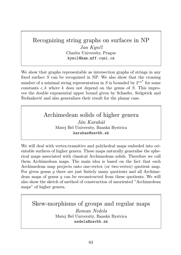# Recognizing string graphs on surfaces in NP

Jan Kynčl Charles University, Prague kyncl@kam.mff.cuni.cz

We show that graphs representable as intersection graphs of strings in any fixed surface  $S$  can be recognized in NP. We also show that the crossing number of a minimal string representation in S is bounded by  $2^{cn^k}$  for some constants  $c, k$  where k does not depend on the genus of  $S$ . This improves the double exponential upper bound given by Schaefer, Sedgwick and Štefankovič and also generalizes their result for the planar case.

> Archimedean solids of higher genera Ján Karabáš Matej Bel University, Banská Bystrica karabas@savbb.sk

We will deal with vertex-transitive and polyhedral maps embeded into orientable surfaces of higher genera. These maps naturally generalise the spherical maps associated with classical Archimedean solids. Therefore we call them Archimedean maps. The main idea is based on the fact that each Archimedean map projects onto one-vertex (or two-vertex) quotient map. For given genus  $q$  there are just finitely many quotients and all Archimedean maps of genus  $q$  can be reconstructed from these quotients. We will also show the sketch of method of construction of unoriented "Archimedean maps" of higher genera.

Skew-morphisms of groups and regular maps Roman Nedela Matej Bel University, Banská Bystrica nedela@savbb.sk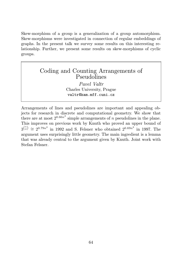Skew-morphism of a group is a generalization of a group automorphism. Skew-morphisms were investigated in connection of regular embeddings of graphs. In the present talk we survey some results on this interesting relationship. Further, we present some results on skew-morphisms of cyclic groups.

## Coding and Counting Arrangements of **Pseudolines**

Pavel Valtr Charles University, Prague valtr@kam.mff.cuni.cz

Arrangements of lines and pseudolines are important and appealing objects for research in discrete and computational geometry. We show that there are at most  $2^{0.66n^2}$  simple arrangements of n pseudolines in the plane. This improves on previous work by Knuth who proved an upper bound of  $3^{n \choose 2}$   $\cong$  2<sup>0.79n<sup>2</sup></sup> in 1992 and S. Felsner who obtained 2<sup>0.69n<sup>2</sup> in 1997. The</sup> argument uses surprisingly little geometry. The main ingredient is a lemma that was already central to the argument given by Knuth. Joint work with Stefan Felsner.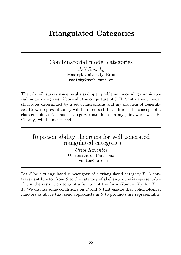# Triangulated Categories

Combinatorial model categories

Jiří Rosický Masaryk University, Brno rosicky@math.muni.cz

The talk will survey some results and open problems concerning combinatorial model categories. Above all, the conjecture of J. H. Smith about model structures determined by a set of morphisms and my problem of generalized Brown representability will be discussed. In addition, the concept of a class-combinatorial model category (introduced in my joint work with B. Chorny) will be mentioned.

Representability theorems for well generated triangulated categories

Oriol Raventos Universitat de Barcelona raventos@ub.edu

Let S be a triangulated subcategory of a triangulated category  $T$ . A contravariant functor from  $S$  to the category of abelian groups is representable if it is the restriction to S of a functor of the form  $Hom(-, X)$ , for X in T. We discuss some conditions on T and S that ensure that cohomological functors as above that send coproducts in S to products are representable.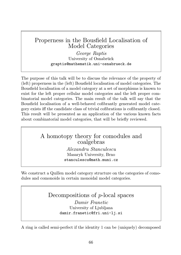# Properness in the Bousfield Localisation of Model Categories

George Raptis University of Osnabrück graptis@mathematik.uni-osnabrueck.de

The purpose of this talk will be to discuss the relevance of the property of (left) properness in the (left) Bousfield localisation of model categories. The Bousfield localisation of a model category at a set of morphisms is known to exist for the left proper cellular model categories and the left proper combinatorial model categories. The main result of the talk will say that the Bousfield localisation of a well-behaved cofibrantly generated model category exists iff the candidate class of trivial cofibrations is cofibrantly closed. This result will be presented as an application of the various known facts about combinatorial model categories, that will be briefly reviewed.

# A homotopy theory for comodules and coalgebras

Alexandru Stanculescu Masaryk University, Brno stanculescu@math.muni.cz

We construct a Quillen model category structure on the categories of comodules and comonoids in certain monoidal model categories.

# Decompositions of p-local spaces

Damir Franetic University of Ljubljana damir.franetic@fri.uni-li.si

A ring is called semi-perfect if the identity 1 can be (uniquely) decomposed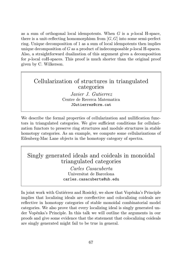as a sum of orthogonal local idempotents. When  $G$  is a  $p$ -local H-space, there is a unit-reflecting homomorphism from  $[G, G]$  into some semi-perfect ring. Unique decomposition of 1 as a sum of local idempotents then implies unique decomposition of  $G$  as a product of indecomposable  $p$ -local H-spaces. Also, a straightforward dualization of this argument gives a decomposition for p-local coH-spaces. This proof is much shorter than the original proof given by C. Wilkerson.

### Cellularization of structures in triangulated categories

Javier J. Gutierrez Centre de Recerca Matematica JGutierrez@crm.cat

We describe the formal properties of cellularization and nullification functors in triangulated categories. We give sufficient conditions for cellularization functors to preserve ring structures and module structures in stable homotopy categories. As an example, we compute some cellularizations of Eilenberg-Mac Lane objects in the homotopy category of spectra.

# Singly generated ideals and coideals in monoidal triangulated categories

Carles Casacuberta Universitat de Barcelona carles.casacuberta@ub.edu

In joint work with Gutiérrez and Rosický, we show that Vopěnka's Principle implies that localizing ideals are coreflective and colocalizing coideals are reflective in homotopy categories of stable monoidal combinatorial model categories. We also prove that every localizing ideal is singly generated under Vopěnka's Principle. In this talk we will outline the arguments in our proofs and give some evidence that the statement that colocalizing coideals are singly generated might fail to be true in general.